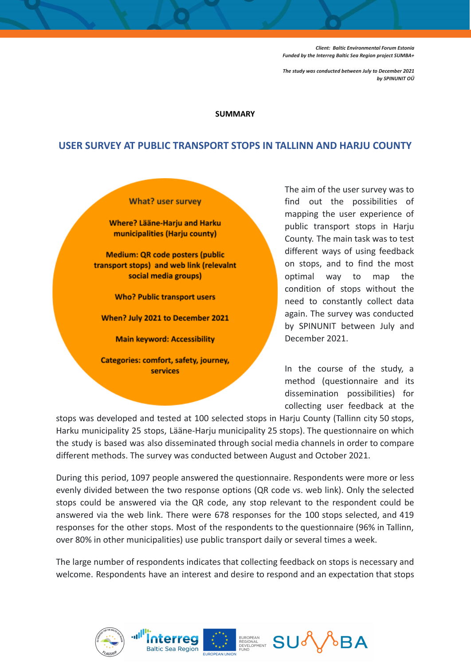*Client: Baltic Environmental Forum Estonia Funded by the Interreg Baltic Sea Region project SUMBA+*

*The study was conducted between July to December 2021 by SPINUNIT OÜ*

## **SUMMARY**

## **USER SURVEY AT PUBLIC TRANSPORT STOPS IN TALLINN AND HARJU COUNTY**

## **What? user survey**

**Where? Lääne-Harju and Harku** municipalities (Harju county)

**Medium: QR code posters (public** transport stops) and web link (relevalnt social media groups)

**Who? Public transport users** 

When? July 2021 to December 2021

**Main keyword: Accessibility** 

Categories: comfort, safety, journey, **services** 

The aim of the user survey was to find out the possibilities of mapping the user experience of public transport stops in Harju County. The main task was to test different ways of using feedback on stops, and to find the most optimal way to map the condition of stops without the need to constantly collect data again. The survey was conducted by SPINUNIT between July and December 2021.

In the course of the study, a method (questionnaire and its dissemination possibilities) for collecting user feedback at the

stops was developed and tested at 100 selected stops in Harju County (Tallinn city 50 stops, Harku municipality 25 stops, Lääne-Harju municipality 25 stops). The questionnaire on which the study is based was also disseminated through social media channels in order to compare different methods. The survey was conducted between August and October 2021.

During this period, 1097 people answered the questionnaire. Respondents were more or less evenly divided between the two response options (QR code vs. web link). Only the selected stops could be answered via the QR code, any stop relevant to the respondent could be answered via the web link. There were 678 responses for the 100 stops selected, and 419 responses for the other stops. Most of the respondents to the questionnaire (96% in Tallinn, over 80% in other municipalities) use public transport daily or several times a week.

The large number of respondents indicates that collecting feedback on stops is necessary and welcome. Respondents have an interest and desire to respond and an expectation that stops